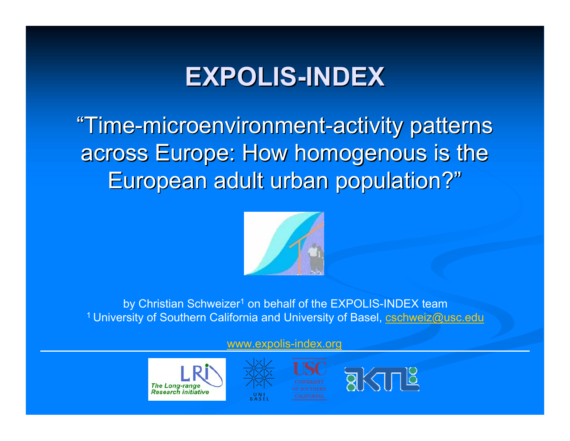### **EXPOLIS EXPOLIS-INDEX**

"Time-microenvironment-activity patterns across Europe: How homogenous is the European adult urban population?"



by Christian Schweizer<sup>1</sup> on behalf of the EXPOLIS-INDEX team <sup>1</sup> University of Southern California and University of Basel, **cschweiz@usc.edu** 

#### www.expolis-index.org





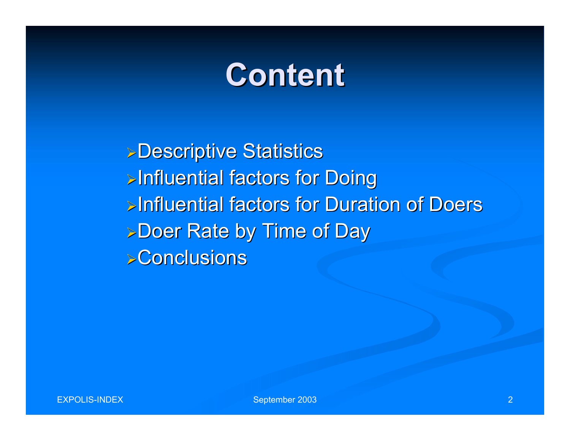## **Content Content**

**>Descriptive Statistics >Influential factors for Doing** ¾Influential factors for Duration of Doers Influential factors for Duration of Doers **>Doer Rate by Time of Day**  $\triangleright$  Conclusions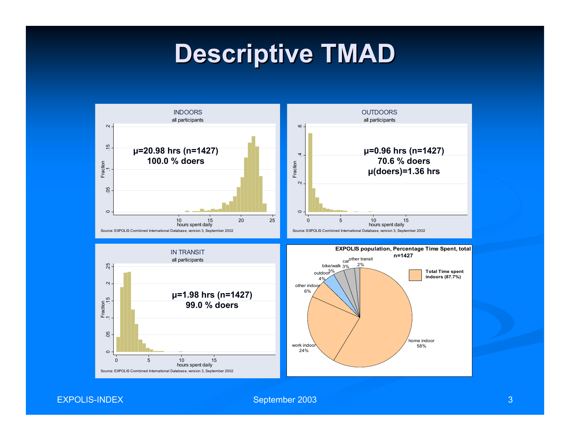### **Descriptive TMAD Descriptive TMAD**



EXPOLIS-INDEX

September 2003 3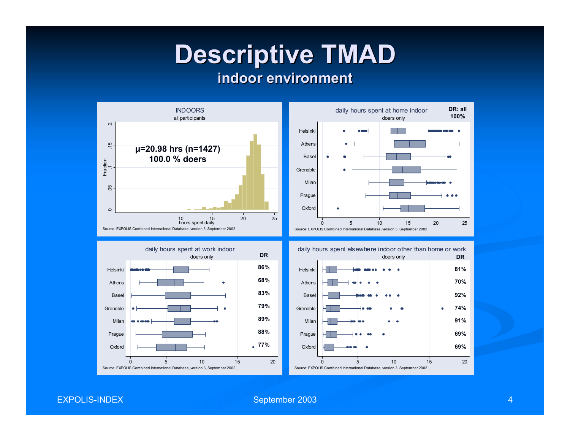# **Descriptive TMAD Descriptive TMAD**

#### **indoor environment indoor environment**



EXPOLIS-INDEX

September 2003 **4** 4 **4**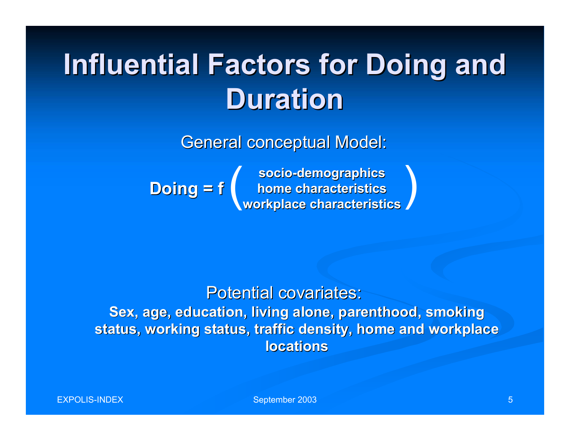## **Influential Factors for Doing and Duration Duration**

General conceptual Model:

**socio-demographics demographics home characteristics home characteristics workplace characteristics workplace characteristics Doing = f Doing = f** ( )

Potential covariates: **Sex, age, education, living alone, parenthood, smoking** status, working status, traffic density, home and workplace **locations locations**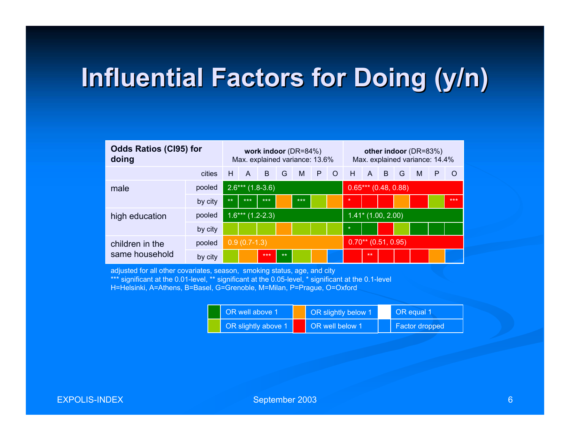### **Influential Factors for Doing (y/n) Influential Factors for Doing (y/n)**

| <b>Odds Ratios (CI95) for</b><br>doing |         | work indoor $(DR=84%)$<br>Max. explained variance: 13.6% |                    |     |      |                       |       | other indoor (DR=83%)<br>Max. explained variance: 14.4% |                       |                |                |          |   |   |         |
|----------------------------------------|---------|----------------------------------------------------------|--------------------|-----|------|-----------------------|-------|---------------------------------------------------------|-----------------------|----------------|----------------|----------|---|---|---------|
|                                        | cities  | H                                                        | A                  | B.  | G    | M                     | $P$ O |                                                         | H                     | $\blacksquare$ | $\overline{B}$ | <b>G</b> | M | P | $\circ$ |
| male                                   | pooled  |                                                          | $2.6***$ (1.8-3.6) |     |      | $0.65***(0.48, 0.88)$ |       |                                                         |                       |                |                |          |   |   |         |
|                                        | by city | $***$                                                    | $***$              | *** |      | $***$                 |       |                                                         | $\star$               |                |                |          |   |   | $***$   |
| pooled<br>high education               |         | $1.6***$ (1.2-2.3)                                       |                    |     |      |                       |       | $1.41*$ (1.00, 2.00)                                    |                       |                |                |          |   |   |         |
|                                        | by city |                                                          |                    |     |      |                       |       |                                                         | $\star$               |                |                |          |   |   |         |
| children in the                        | pooled  | $0.9(0.7-1.3)$                                           |                    |     |      |                       |       |                                                         | $0.70**$ (0.51, 0.95) |                |                |          |   |   |         |
| same household                         | by city |                                                          |                    | *** | $**$ |                       |       |                                                         |                       | $**$           |                |          |   |   |         |

adjusted for all other covariates, season, smoking status, age, and city

\*\*\* significant at the 0.01-level, \*\* significant at the 0.05-level, \* significant at the 0.1-level

H=Helsinki, A=Athens, B=Basel, G=Grenoble, M=Milan, P=Prague, O=Oxford

| OR well above 1     | OR slightly below 1 | OR equal 1     |  |  |  |
|---------------------|---------------------|----------------|--|--|--|
| OR slightly above 1 | OR well below 1     | Factor dropped |  |  |  |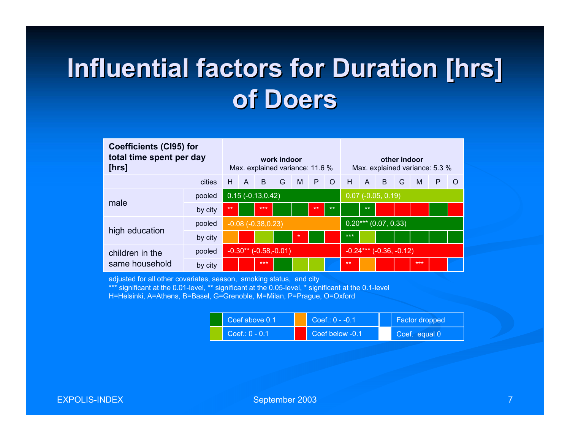### **Influential factors for Duration [hrs] Influential factors for Duration [hrs] of Doers of Doers**

| <b>Coefficients (CI95) for</b><br>total time spent per day<br>[hrs] |         | work indoor<br>Max. explained variance: 11.6 % |              |       |   |         |      |                        | other indoor<br>Max. explained variance: 5.3 % |              |   |   |       |   |          |
|---------------------------------------------------------------------|---------|------------------------------------------------|--------------|-------|---|---------|------|------------------------|------------------------------------------------|--------------|---|---|-------|---|----------|
|                                                                     | cities  | н                                              | $\mathsf{A}$ | B     | G | M       | P    | $\overline{O}$         | H                                              | $\mathsf{A}$ | B | G | M     | P | $\Omega$ |
| male                                                                | pooled  | $0.15(-0.13, 0.42)$                            |              |       |   |         |      |                        | $0.07$ (-0.05, 0.19)                           |              |   |   |       |   |          |
|                                                                     | by city | $**$                                           |              | $***$ |   |         | $**$ | $***$                  |                                                | $**$         |   |   |       |   |          |
|                                                                     | pooled  | $-0.08(-0.38, 0.23)$                           |              |       |   |         |      | $0.20***$ (0.07, 0.33) |                                                |              |   |   |       |   |          |
| high education                                                      | by city |                                                |              |       |   | $\star$ |      |                        | $***$                                          |              |   |   |       |   |          |
| children in the<br>same household                                   | pooled  | $-0.30**$ ( $-0.58,-0.01$ )                    |              |       |   |         |      |                        | $-0.24***$ $(-0.36,-0.12)$                     |              |   |   |       |   |          |
|                                                                     | by city |                                                |              | ***   |   |         |      |                        | **                                             |              |   |   | $***$ |   |          |

adjusted for all other covariates, season, smoking status, and city

\*\*\* significant at the 0.01-level, \*\* significant at the 0.05-level, \* significant at the 0.1-level

H=Helsinki, A=Athens, B=Basel, G=Grenoble, M=Milan, P=Prague, O=Oxford

| Coef above 0.1   | $Coef: 0 -0.1$  | <b>Factor dropped</b> |  |  |  |
|------------------|-----------------|-----------------------|--|--|--|
| $Coeff: 0 - 0.1$ | Coef below -0.1 | Coef. equal 0         |  |  |  |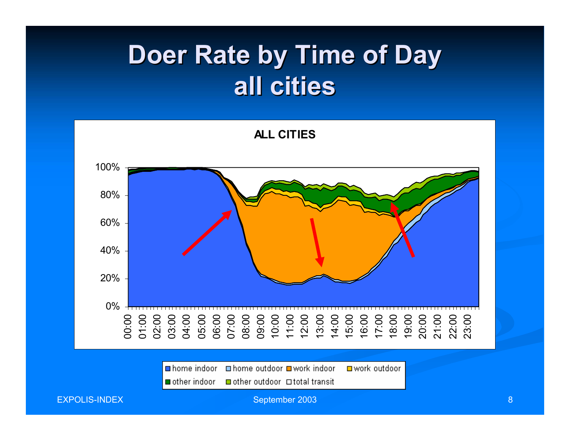### **Doer Rate by Time of Day all cities all cities**

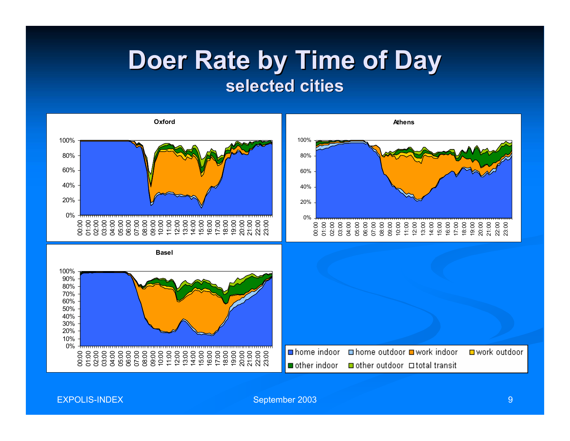#### **Doer Rate by Time of Day selected cities selected cities**



EXPOLIS-INDEX

September 2003 **9 Page 2003** 9 Page 2003 1 Page 2003 1 Page 2004 1 Page 2004 1 Page 2004 1 Page 2004 1 Page 2004 1 Page 2004 1 Page 2004 1 Page 2004 1 Page 2004 1 Page 2004 1 Page 2004 1 Page 2004 1 Page 2004 1 Page 2004 1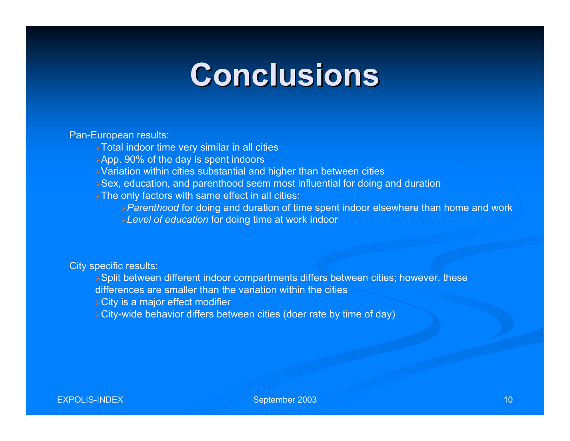## **Conclusions Conclusions**

#### Pan-European results:

- Total indoor time very similar in all cities
- App. 90% of the day is spent indoors
- Variation within cities substantial and higher than between cities
- Sex, education, and parenthood seem most influential for doing and duration
- The only factors with same effect in all cities:
	- *Parenthood* for doing and duration of time spent indoor elsewhere than home and work *Level of education* for doing time at work indoor

#### City specific results:

- Split between different indoor compartments differs between cities; however, these
- differences are smaller than the variation within the cities
- City is a major effect modifier
- City-wide behavior differs between cities (doer rate by time of day)